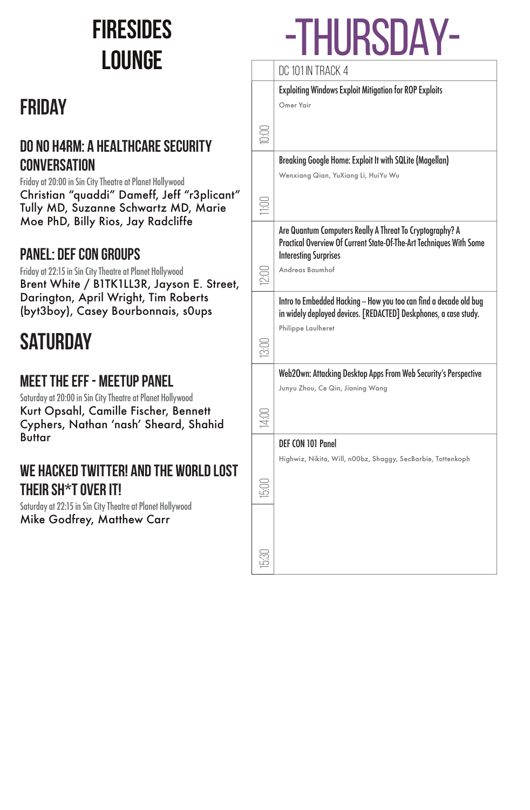### **FIRESIDEs LOUNGE**

### **FRIDAY**

#### **D0 N0 H4RM: A HEALTHCARE SECURITY CONVERSATION**

Friday at 20:00 in Sin City Theatre at Planet Hollywood Christian "quaddi" Dameff, Jeff "r3plicant" Tully MD, Suzanne Schwartz MD, Marie Moe PhD, Billy Rios, Jay Radcliffe

#### **PANEL: DEF CON GROUPS**

Friday at 22:15 in Sin City Theatre at Planet Hollywood Brent White / B1TK1LL3R, Jayson E. Street, Darington, April Wright, Tim Roberts (byt3boy), Casey Bourbonnais, s0ups

### **SATURDAY**

#### **MEET THE EFF - MEETUP PANEL**

Saturday at 20:00 in Sin City Theatre at Planet Hollywood Kurt Opsahl, Camille Fischer, Bennett Cyphers, Nathan 'nash' Sheard, Shahid **Buttar** 

#### **WE HACKED TWITTER! AND THE WORLD LOST THEIR SH\*T OVER IT!**

Saturday at 22:15 in Sin City Theatre at Planet Hollywood Mike Godfrey, Matthew Carr

# -THURSDAY-

### DC 101 IN TRACK 4 10:00 Exploiting Windows Exploit Mitigation for ROP Exploits Omer Yair 11:00 Breaking Google Home: Exploit It with SQLite (Magellan) Wenxiang Qian, YuXiang Li, HuiYu Wu 12:00 Are Quantum Computers Really A Threat To Cryptography? A Practical Overview Of Current State-Of-The-Art Techniques With Some Interesting Surprises Andreas Baumhof 13:00 Intro to Embedded Hacking -- How you too can find a decade old bug in widely deployed devices. [REDACTED] Deskphones, a case study. Philippe Laulheret 14:00 Web2Own: Attacking Desktop Apps From Web Security's Perspective Junyu Zhou, Ce Qin, Jianing Wang 15:00 DEF CON 101 Panel Highwiz, Nikita, Will, n00bz, Shaggy, SecBarbie, Tottenkoph 15:30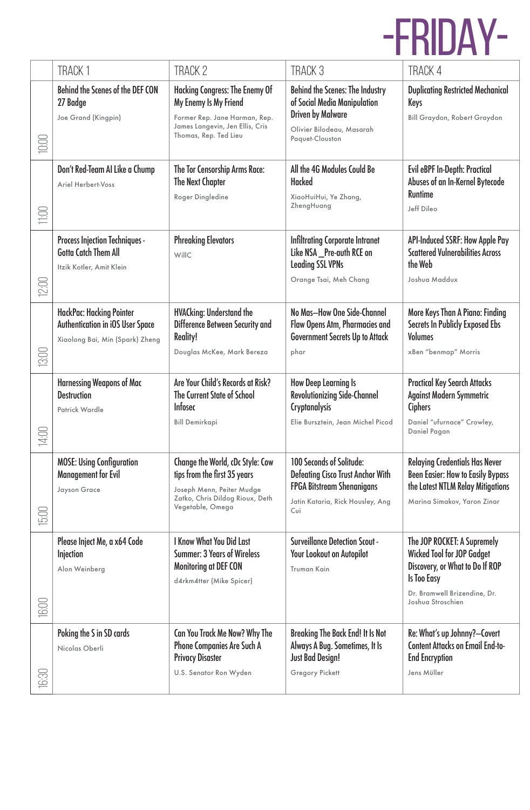# -FRIDAY-

|                                                 | <b>TRACK1</b>                                                                                    | <b>TRACK 2</b>                                                                                                                                       | TRACK <sub>3</sub>                                                                                                                                   | <b>TRACK 4</b>                                                                                                                                                                 |
|-------------------------------------------------|--------------------------------------------------------------------------------------------------|------------------------------------------------------------------------------------------------------------------------------------------------------|------------------------------------------------------------------------------------------------------------------------------------------------------|--------------------------------------------------------------------------------------------------------------------------------------------------------------------------------|
| 10:00                                           | Behind the Scenes of the DEF CON<br>27 Badge<br>Joe Grand (Kingpin)                              | Hacking Congress: The Enemy Of<br>My Enemy Is My Friend<br>Former Rep. Jane Harman, Rep.<br>James Langevin, Jen Ellis, Cris<br>Thomas, Rep. Ted Lieu | <b>Behind the Scenes: The Industry</b><br>of Social Media Manipulation<br><b>Driven by Malware</b><br>Olivier Bilodeau, Masarah<br>Paguet-Clouston   | <b>Duplicating Restricted Mechanical</b><br>Keys<br>Bill Graydon, Robert Graydon                                                                                               |
| $\begin{array}{c}\n11.00 \\ 11.00\n\end{array}$ | Don't Red-Team AI Like a Chump<br>Ariel Herbert-Voss                                             | The Tor Censorship Arms Race:<br>The Next Chapter<br>Roger Dingledine                                                                                | All the 4G Modules Could Be<br>Hacked<br>XiaoHuiHui, Ye Zhang,<br>ZhengHuang                                                                         | Evil eBPF In-Depth: Practical<br>Abuses of an In-Kernel Bytecode<br><b>Runtime</b><br>Jeff Dileo                                                                               |
| 12:00                                           | <b>Process Injection Techniques -</b><br><b>Gotta Catch Them All</b><br>Itzik Kotler, Amit Klein | <b>Phreaking Elevators</b><br>WillC                                                                                                                  | <b>Infiltrating Corporate Intranet</b><br>Like NSA_Pre-auth RCE on<br><b>Leading SSL VPNs</b><br>Orange Tsai, Meh Chang                              | <b>API-Induced SSRF: How Apple Pay</b><br><b>Scattered Vulnerabilities Across</b><br>the Web<br>Joshua Maddux                                                                  |
| 13:00                                           | HackPac: Hacking Pointer<br>Authentication in iOS User Space<br>Xiaolong Bai, Min (Spark) Zheng  | <b>HVACking: Understand the</b><br>Difference Between Security and<br>Reality!<br>Douglas McKee, Mark Bereza                                         | No Mas-How One Side-Channel<br>Flaw Opens Atm, Pharmacies and<br><b>Government Secrets Up to Attack</b><br>phar                                      | More Keys Than A Piano: Finding<br><b>Secrets In Publicly Exposed Ebs</b><br>Volumes<br>xBen "benmap" Morris                                                                   |
| 14:00                                           | Harnessing Weapons of Mac<br><b>Destruction</b><br>Patrick Wardle                                | Are Your Child's Records at Risk?<br>The Current State of School<br><b>Infosec</b><br><b>Bill Demirkapi</b>                                          | <b>How Deep Learning Is</b><br><b>Revolutionizing Side-Channel</b><br><b>Cryptanalysis</b><br>Elie Bursztein, Jean Michel Picod                      | <b>Practical Key Search Attacks</b><br>Against Modern Symmetric<br><b>Ciphers</b><br>Daniel "ufurnace" Crowley,<br>Daniel Pagan                                                |
| 15:00                                           | <b>MOSE: Using Configuration</b><br><b>Management for Evil</b><br>Jayson Grace                   | Change the World, cDc Style: Cow<br>tips from the first 35 years<br>Joseph Menn, Peiter Mudge<br>Zatko, Chris Dildog Rioux, Deth<br>Vegetable, Omega | 100 Seconds of Solitude:<br><b>Defeating Cisco Trust Anchor With</b><br><b>FPGA Bitstream Shenanigans</b><br>Jatin Kataria, Rick Housley, Ang<br>Cui | <b>Relaying Credentials Has Never</b><br><b>Been Easier: How to Easily Bypass</b><br>the Latest NTLM Relay Mitigations<br>Marina Simakov, Yaron Zinar                          |
|                                                 |                                                                                                  |                                                                                                                                                      |                                                                                                                                                      |                                                                                                                                                                                |
| 16:00                                           | Please Inject Me, a x64 Code<br>Injection<br>Alon Weinberg                                       | I Know What You Did Last<br><b>Summer: 3 Years of Wireless</b><br>Monitoring at DEF CON<br>d4rkm4tter (Mike Spicer)                                  | <b>Surveillance Detection Scout -</b><br>Your Lookout on Autopilot<br>Truman Kain                                                                    | The JOP ROCKET: A Supremely<br><b>Wicked Tool for JOP Gadget</b><br>Discovery, or What to Do If ROP<br><b>Is Too Easy</b><br>Dr. Bramwell Brizendine, Dr.<br>Joshua Stroschien |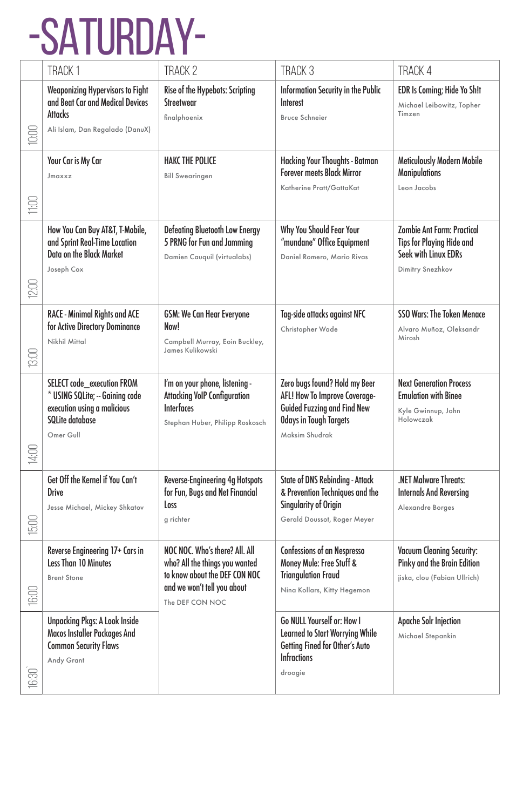# -SATURDAY-

|             | <b>TRACK1</b>                                                                                                                    | TRACK <sub>2</sub>                                                                                                                                  | TRACK <sub>3</sub>                                                                                                                               | TRACK 4                                                                                                           |
|-------------|----------------------------------------------------------------------------------------------------------------------------------|-----------------------------------------------------------------------------------------------------------------------------------------------------|--------------------------------------------------------------------------------------------------------------------------------------------------|-------------------------------------------------------------------------------------------------------------------|
| 0:00        | <b>Weaponizing Hypervisors to Fight</b><br>and Beat Car and Medical Devices<br><b>Attacks</b><br>Ali Islam, Dan Regalado (DanuX) | Rise of the Hypebots: Scripting<br>Streetwear<br>finalphoenix                                                                                       | Information Security in the Public<br>Interest<br><b>Bruce Schneier</b>                                                                          | EDR Is Coming; Hide Yo Sh!t<br>Michael Leibowitz, Topher<br>Timzen                                                |
| 11:00       | Your Car is My Car<br>Jmaxxz                                                                                                     | <b>HAKC THE POLICE</b><br><b>Bill Swearingen</b>                                                                                                    | Hacking Your Thoughts - Batman<br><b>Forever meets Black Mirror</b><br>Katherine Pratt/GattaKat                                                  | <b>Meticulously Modern Mobile</b><br><b>Manipulations</b><br>Leon Jacobs                                          |
| <b>2:00</b> | How You Can Buy AT&T, T-Mobile,<br>and Sprint Real-Time Location<br>Data on the Black Market<br>Joseph Cox                       | <b>Defeating Bluetooth Low Energy</b><br>5 PRNG for Fun and Jamming<br>Damien Cauquil (virtualabs)                                                  | Why You Should Fear Your<br>"mundane" Office Equipment<br>Daniel Romero, Mario Rivas                                                             | <b>Zombie Ant Farm: Practical</b><br><b>Tips for Playing Hide and</b><br>Seek with Linux EDRs<br>Dimitry Snezhkov |
| 13:00       | RACE - Minimal Rights and ACE<br>for Active Directory Dominance<br>Nikhil Mittal                                                 | <b>GSM: We Can Hear Everyone</b><br>Now!<br>Campbell Murray, Eoin Buckley,<br>James Kulikowski                                                      | Tag-side attacks against NFC<br>Christopher Wade                                                                                                 | <b>SSO Wars: The Token Menace</b><br>Alvaro Muñoz, Oleksandr<br>Mirosh                                            |
| 14:00       | SELECT code_execution FROM<br>* USING SQLite; -- Gaining code<br>execution using a malicious<br>SQLite database<br>Omer Gull     | I'm on your phone, listening -<br><b>Attacking VoIP Configuration</b><br><b>Interfaces</b><br>Stephan Huber, Philipp Roskosch                       | Zero bugs found? Hold my Beer<br>AFL! How To Improve Coverage-<br>Guided Fuzzing and Find New<br><b>Odays in Tough Targets</b><br>Maksim Shudrak | <b>Next Generation Process</b><br><b>Emulation with Binee</b><br>Kyle Gwinnup, John<br>Holowczak                  |
| 15:00       | Get Off the Kernel if You Can't<br><b>Drive</b><br>Jesse Michael, Mickey Shkatov                                                 | Reverse-Engineering 4g Hotspots<br>for Fun, Bugs and Net Financial<br>Loss<br>g richter                                                             | <b>State of DNS Rebinding - Attack</b><br>& Prevention Techniques and the<br><b>Singularity of Origin</b><br>Gerald Doussot, Roger Meyer         | .NET Malware Threats:<br><b>Internals And Reversing</b><br>Alexandre Borges                                       |
| 16:00       | Reverse Engineering 17+ Cars in<br>Less Than 10 Minutes<br><b>Brent Stone</b>                                                    | NOC NOC. Who's there? All. All<br>who? All the things you wanted<br>to know about the DEF CON NOC<br>and we won't tell you about<br>The DEF CON NOC | <b>Confessions of an Nespresso</b><br>Money Mule: Free Stuff &<br><b>Triangulation Fraud</b><br>Nina Kollars, Kitty Hegemon                      | <b>Vacuum Cleaning Security:</b><br>Pinky and the Brain Edition<br>jiska, clou (Fabian Ullrich)                   |
| $16:30$     | <b>Unpacking Pkgs: A Look Inside</b><br>Macos Installer Packages And<br><b>Common Security Flaws</b><br>Andy Grant               |                                                                                                                                                     | Go NULL Yourself or: How I<br><b>Learned to Start Worrying While</b><br>Getting Fined for Other's Auto<br><b>Infractions</b><br>droogie          | <b>Apache Solr Injection</b><br>Michael Stepankin                                                                 |